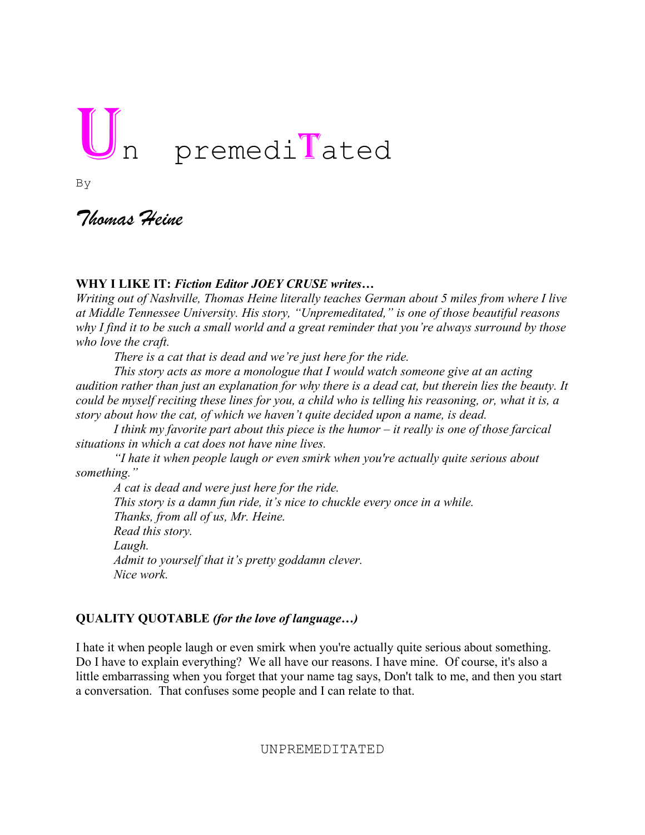## Un premediTated

*Thomas Heine*

## **WHY I LIKE IT:** *Fiction Editor JOEY CRUSE writes…*

*Writing out of Nashville, Thomas Heine literally teaches German about 5 miles from where I live at Middle Tennessee University. His story, "Unpremeditated," is one of those beautiful reasons why I find it to be such a small world and a great reminder that you're always surround by those who love the craft.*

*There is a cat that is dead and we're just here for the ride.* 

*This story acts as more a monologue that I would watch someone give at an acting audition rather than just an explanation for why there is a dead cat, but therein lies the beauty. It could be myself reciting these lines for you, a child who is telling his reasoning, or, what it is, a story about how the cat, of which we haven't quite decided upon a name, is dead.*

*I think my favorite part about this piece is the humor – it really is one of those farcical situations in which a cat does not have nine lives.* 

*"I hate it when people laugh or even smirk when you're actually quite serious about something."* 

*A cat is dead and were just here for the ride. This story is a damn fun ride, it's nice to chuckle every once in a while. Thanks, from all of us, Mr. Heine. Read this story. Laugh. Admit to yourself that it's pretty goddamn clever. Nice work.* 

## **QUALITY QUOTABLE** *(for the love of language…)*

I hate it when people laugh or even smirk when you're actually quite serious about something. Do I have to explain everything? We all have our reasons. I have mine. Of course, it's also a little embarrassing when you forget that your name tag says, Don't talk to me, and then you start a conversation. That confuses some people and I can relate to that.

UNPREMEDITATED

By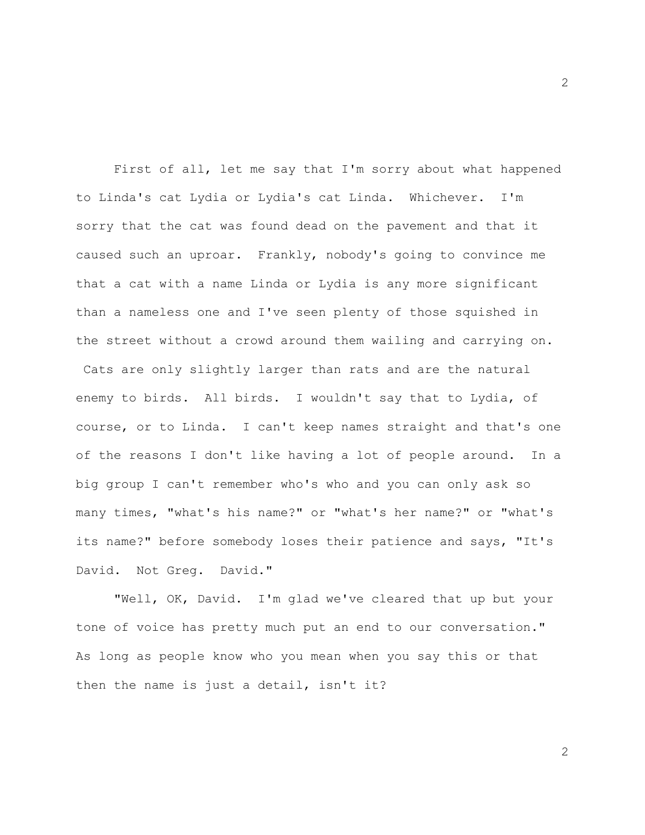First of all, let me say that I'm sorry about what happened to Linda's cat Lydia or Lydia's cat Linda. Whichever. I'm sorry that the cat was found dead on the pavement and that it caused such an uproar. Frankly, nobody's going to convince me that a cat with a name Linda or Lydia is any more significant than a nameless one and I've seen plenty of those squished in the street without a crowd around them wailing and carrying on. Cats are only slightly larger than rats and are the natural enemy to birds. All birds. I wouldn't say that to Lydia, of course, or to Linda. I can't keep names straight and that's one of the reasons I don't like having a lot of people around. In a big group I can't remember who's who and you can only ask so many times, "what's his name?" or "what's her name?" or "what's its name?" before somebody loses their patience and says, "It's David. Not Greg. David."

"Well, OK, David. I'm glad we've cleared that up but your tone of voice has pretty much put an end to our conversation." As long as people know who you mean when you say this or that then the name is just a detail, isn't it?

2

2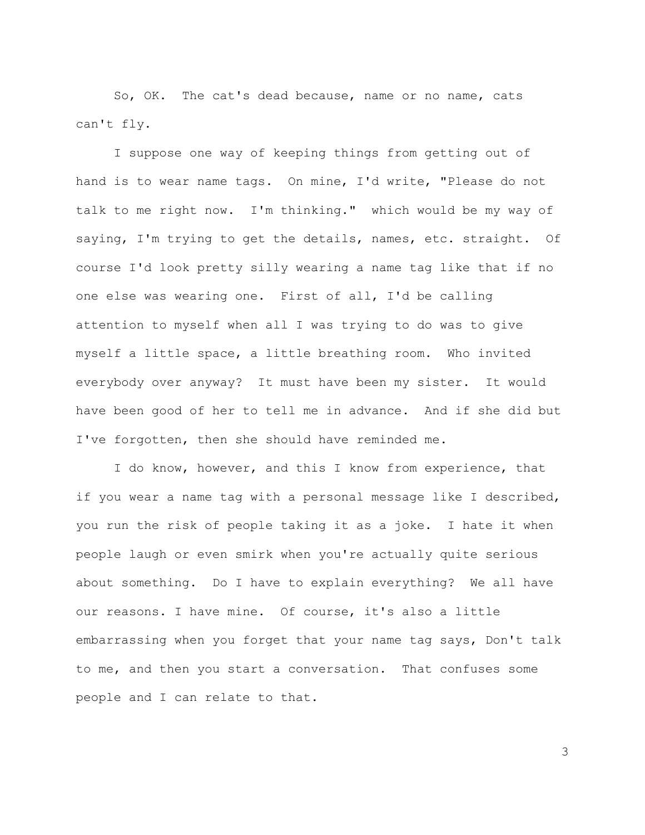So, OK. The cat's dead because, name or no name, cats can't fly.

I suppose one way of keeping things from getting out of hand is to wear name tags. On mine, I'd write, "Please do not talk to me right now. I'm thinking." which would be my way of saying, I'm trying to get the details, names, etc. straight. Of course I'd look pretty silly wearing a name tag like that if no one else was wearing one. First of all, I'd be calling attention to myself when all I was trying to do was to give myself a little space, a little breathing room. Who invited everybody over anyway? It must have been my sister. It would have been good of her to tell me in advance. And if she did but I've forgotten, then she should have reminded me.

I do know, however, and this I know from experience, that if you wear a name tag with a personal message like I described, you run the risk of people taking it as a joke. I hate it when people laugh or even smirk when you're actually quite serious about something. Do I have to explain everything? We all have our reasons. I have mine. Of course, it's also a little embarrassing when you forget that your name tag says, Don't talk to me, and then you start a conversation. That confuses some people and I can relate to that.

3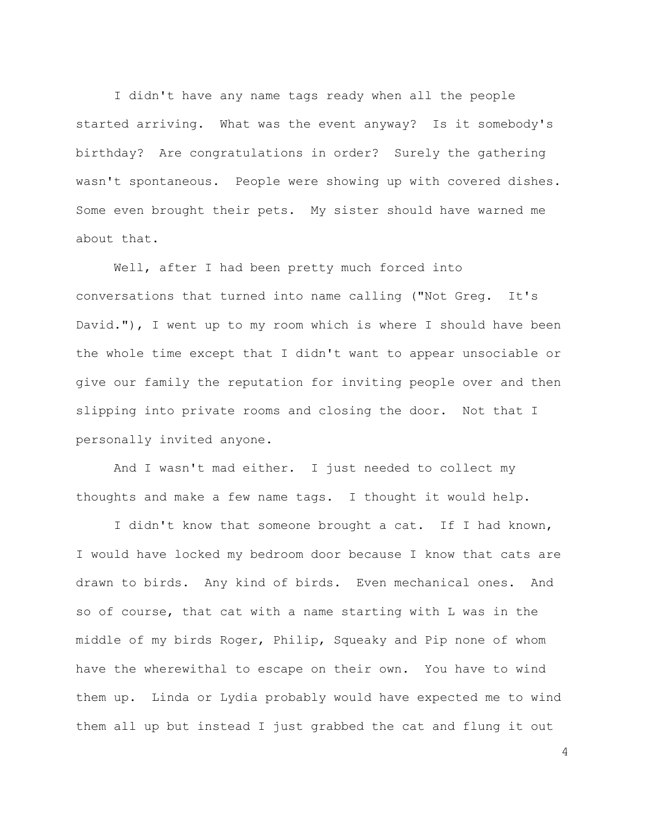I didn't have any name tags ready when all the people started arriving. What was the event anyway? Is it somebody's birthday? Are congratulations in order? Surely the gathering wasn't spontaneous. People were showing up with covered dishes. Some even brought their pets. My sister should have warned me about that.

Well, after I had been pretty much forced into conversations that turned into name calling ("Not Greg. It's David."), I went up to my room which is where I should have been the whole time except that I didn't want to appear unsociable or give our family the reputation for inviting people over and then slipping into private rooms and closing the door. Not that I personally invited anyone.

And I wasn't mad either. I just needed to collect my thoughts and make a few name tags. I thought it would help.

I didn't know that someone brought a cat. If I had known, I would have locked my bedroom door because I know that cats are drawn to birds. Any kind of birds. Even mechanical ones. And so of course, that cat with a name starting with L was in the middle of my birds Roger, Philip, Squeaky and Pip none of whom have the wherewithal to escape on their own. You have to wind them up. Linda or Lydia probably would have expected me to wind them all up but instead I just grabbed the cat and flung it out

4